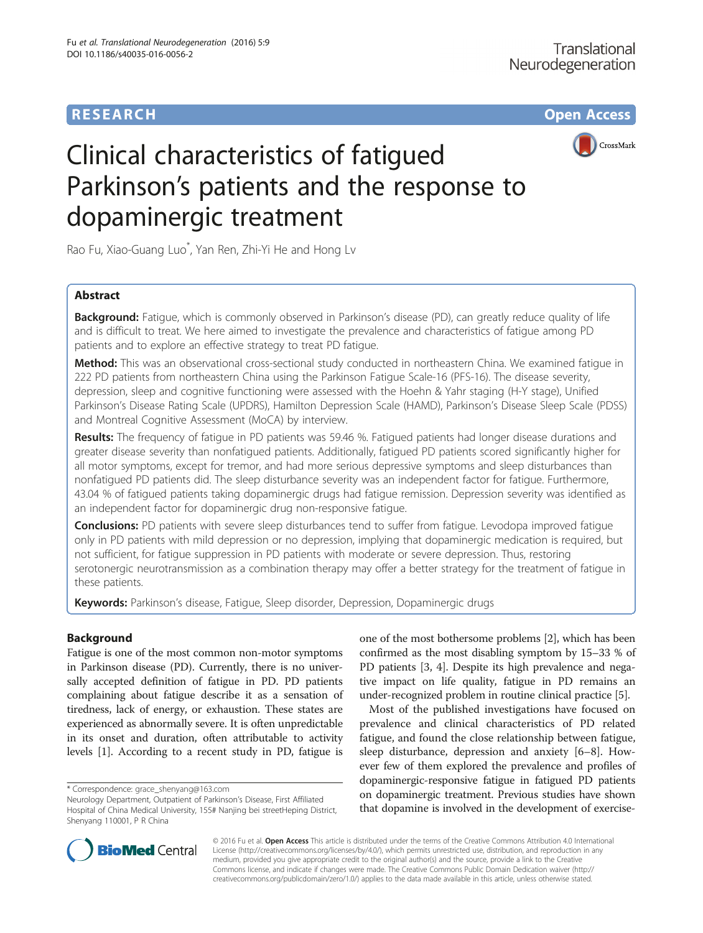# **RESEARCH CHE Open Access**



# Clinical characteristics of fatigued Parkinson's patients and the response to dopaminergic treatment

Rao Fu, Xiao-Guang Luo\* , Yan Ren, Zhi-Yi He and Hong Lv

## Abstract

**Background:** Fatigue, which is commonly observed in Parkinson's disease (PD), can greatly reduce quality of life and is difficult to treat. We here aimed to investigate the prevalence and characteristics of fatigue among PD patients and to explore an effective strategy to treat PD fatigue.

Method: This was an observational cross-sectional study conducted in northeastern China. We examined fatigue in 222 PD patients from northeastern China using the Parkinson Fatigue Scale-16 (PFS-16). The disease severity, depression, sleep and cognitive functioning were assessed with the Hoehn & Yahr staging (H-Y stage), Unified Parkinson's Disease Rating Scale (UPDRS), Hamilton Depression Scale (HAMD), Parkinson's Disease Sleep Scale (PDSS) and Montreal Cognitive Assessment (MoCA) by interview.

Results: The frequency of fatigue in PD patients was 59.46 %. Fatigued patients had longer disease durations and greater disease severity than nonfatigued patients. Additionally, fatigued PD patients scored significantly higher for all motor symptoms, except for tremor, and had more serious depressive symptoms and sleep disturbances than nonfatigued PD patients did. The sleep disturbance severity was an independent factor for fatigue. Furthermore, 43.04 % of fatigued patients taking dopaminergic drugs had fatigue remission. Depression severity was identified as an independent factor for dopaminergic drug non-responsive fatigue.

**Conclusions:** PD patients with severe sleep disturbances tend to suffer from fatigue. Levodopa improved fatigue only in PD patients with mild depression or no depression, implying that dopaminergic medication is required, but not sufficient, for fatigue suppression in PD patients with moderate or severe depression. Thus, restoring serotonergic neurotransmission as a combination therapy may offer a better strategy for the treatment of fatigue in these patients.

Keywords: Parkinson's disease, Fatigue, Sleep disorder, Depression, Dopaminergic drugs

## Background

Fatigue is one of the most common non-motor symptoms in Parkinson disease (PD). Currently, there is no universally accepted definition of fatigue in PD. PD patients complaining about fatigue describe it as a sensation of tiredness, lack of energy, or exhaustion. These states are experienced as abnormally severe. It is often unpredictable in its onset and duration, often attributable to activity levels [[1\]](#page-5-0). According to a recent study in PD, fatigue is

\* Correspondence: [grace\\_shenyang@163.com](mailto:grace_shenyang@163.com)

one of the most bothersome problems [\[2\]](#page-5-0), which has been confirmed as the most disabling symptom by 15–33 % of PD patients [\[3](#page-5-0), [4\]](#page-5-0). Despite its high prevalence and negative impact on life quality, fatigue in PD remains an under-recognized problem in routine clinical practice [\[5\]](#page-5-0).

Most of the published investigations have focused on prevalence and clinical characteristics of PD related fatigue, and found the close relationship between fatigue, sleep disturbance, depression and anxiety [[6](#page-5-0)–[8\]](#page-6-0). However few of them explored the prevalence and profiles of dopaminergic-responsive fatigue in fatigued PD patients on dopaminergic treatment. Previous studies have shown that dopamine is involved in the development of exercise-



© 2016 Fu et al. Open Access This article is distributed under the terms of the Creative Commons Attribution 4.0 International License ([http://creativecommons.org/licenses/by/4.0/\)](http://creativecommons.org/licenses/by/4.0/), which permits unrestricted use, distribution, and reproduction in any medium, provided you give appropriate credit to the original author(s) and the source, provide a link to the Creative Commons license, and indicate if changes were made. The Creative Commons Public Domain Dedication waiver ([http://](http://creativecommons.org/publicdomain/zero/1.0/) [creativecommons.org/publicdomain/zero/1.0/\)](http://creativecommons.org/publicdomain/zero/1.0/) applies to the data made available in this article, unless otherwise stated.

Neurology Department, Outpatient of Parkinson's Disease, First Affiliated Hospital of China Medical University, 155# Nanjing bei streetHeping District, Shenyang 110001, P R China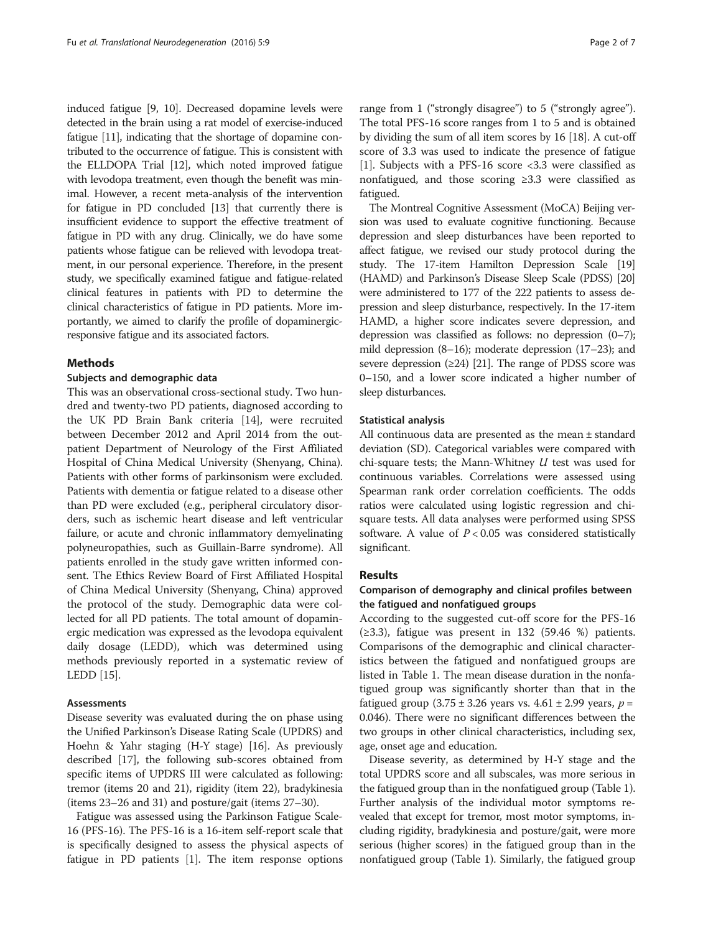induced fatigue [\[9](#page-6-0), [10](#page-6-0)]. Decreased dopamine levels were detected in the brain using a rat model of exercise-induced fatigue [\[11\]](#page-6-0), indicating that the shortage of dopamine contributed to the occurrence of fatigue. This is consistent with the ELLDOPA Trial [\[12](#page-6-0)], which noted improved fatigue with levodopa treatment, even though the benefit was minimal. However, a recent meta-analysis of the intervention for fatigue in PD concluded [[13](#page-6-0)] that currently there is insufficient evidence to support the effective treatment of fatigue in PD with any drug. Clinically, we do have some patients whose fatigue can be relieved with levodopa treatment, in our personal experience. Therefore, in the present study, we specifically examined fatigue and fatigue-related clinical features in patients with PD to determine the clinical characteristics of fatigue in PD patients. More importantly, we aimed to clarify the profile of dopaminergicresponsive fatigue and its associated factors.

### Methods

#### Subjects and demographic data

This was an observational cross-sectional study. Two hundred and twenty-two PD patients, diagnosed according to the UK PD Brain Bank criteria [\[14](#page-6-0)], were recruited between December 2012 and April 2014 from the outpatient Department of Neurology of the First Affiliated Hospital of China Medical University (Shenyang, China). Patients with other forms of parkinsonism were excluded. Patients with dementia or fatigue related to a disease other than PD were excluded (e.g., peripheral circulatory disorders, such as ischemic heart disease and left ventricular failure, or acute and chronic inflammatory demyelinating polyneuropathies, such as Guillain-Barre syndrome). All patients enrolled in the study gave written informed consent. The Ethics Review Board of First Affiliated Hospital of China Medical University (Shenyang, China) approved the protocol of the study. Demographic data were collected for all PD patients. The total amount of dopaminergic medication was expressed as the levodopa equivalent daily dosage (LEDD), which was determined using methods previously reported in a systematic review of LEDD [\[15](#page-6-0)].

## Assessments

Disease severity was evaluated during the on phase using the Unified Parkinson's Disease Rating Scale (UPDRS) and Hoehn & Yahr staging (H-Y stage) [[16\]](#page-6-0). As previously described [\[17\]](#page-6-0), the following sub-scores obtained from specific items of UPDRS III were calculated as following: tremor (items 20 and 21), rigidity (item 22), bradykinesia (items 23–26 and 31) and posture/gait (items 27–30).

Fatigue was assessed using the Parkinson Fatigue Scale-16 (PFS-16). The PFS-16 is a 16-item self-report scale that is specifically designed to assess the physical aspects of fatigue in PD patients [\[1](#page-5-0)]. The item response options

range from 1 ("strongly disagree") to 5 ("strongly agree"). The total PFS-16 score ranges from 1 to 5 and is obtained by dividing the sum of all item scores by 16 [\[18\]](#page-6-0). A cut-off score of 3.3 was used to indicate the presence of fatigue [[1\]](#page-5-0). Subjects with a PFS-16 score <3.3 were classified as nonfatigued, and those scoring ≥3.3 were classified as fatigued.

The Montreal Cognitive Assessment (MoCA) Beijing version was used to evaluate cognitive functioning. Because depression and sleep disturbances have been reported to affect fatigue, we revised our study protocol during the study. The 17-item Hamilton Depression Scale [\[19](#page-6-0)] (HAMD) and Parkinson's Disease Sleep Scale (PDSS) [\[20](#page-6-0)] were administered to 177 of the 222 patients to assess depression and sleep disturbance, respectively. In the 17-item HAMD, a higher score indicates severe depression, and depression was classified as follows: no depression (0–7); mild depression (8–16); moderate depression (17–23); and severe depression  $(\geq 24)$  [\[21\]](#page-6-0). The range of PDSS score was 0–150, and a lower score indicated a higher number of sleep disturbances.

### Statistical analysis

All continuous data are presented as the mean ± standard deviation (SD). Categorical variables were compared with chi-square tests; the Mann-Whitney  $U$  test was used for continuous variables. Correlations were assessed using Spearman rank order correlation coefficients. The odds ratios were calculated using logistic regression and chisquare tests. All data analyses were performed using SPSS software. A value of  $P < 0.05$  was considered statistically significant.

#### Results

## Comparison of demography and clinical profiles between the fatigued and nonfatigued groups

According to the suggested cut-off score for the PFS-16  $(\geq 3.3)$ , fatigue was present in 132 (59.46 %) patients. Comparisons of the demographic and clinical characteristics between the fatigued and nonfatigued groups are listed in Table [1](#page-2-0). The mean disease duration in the nonfatigued group was significantly shorter than that in the fatigued group  $(3.75 \pm 3.26$  years vs.  $4.61 \pm 2.99$  years,  $p =$ 0.046). There were no significant differences between the two groups in other clinical characteristics, including sex, age, onset age and education.

Disease severity, as determined by H-Y stage and the total UPDRS score and all subscales, was more serious in the fatigued group than in the nonfatigued group (Table [1](#page-2-0)). Further analysis of the individual motor symptoms revealed that except for tremor, most motor symptoms, including rigidity, bradykinesia and posture/gait, were more serious (higher scores) in the fatigued group than in the nonfatigued group (Table [1](#page-2-0)). Similarly, the fatigued group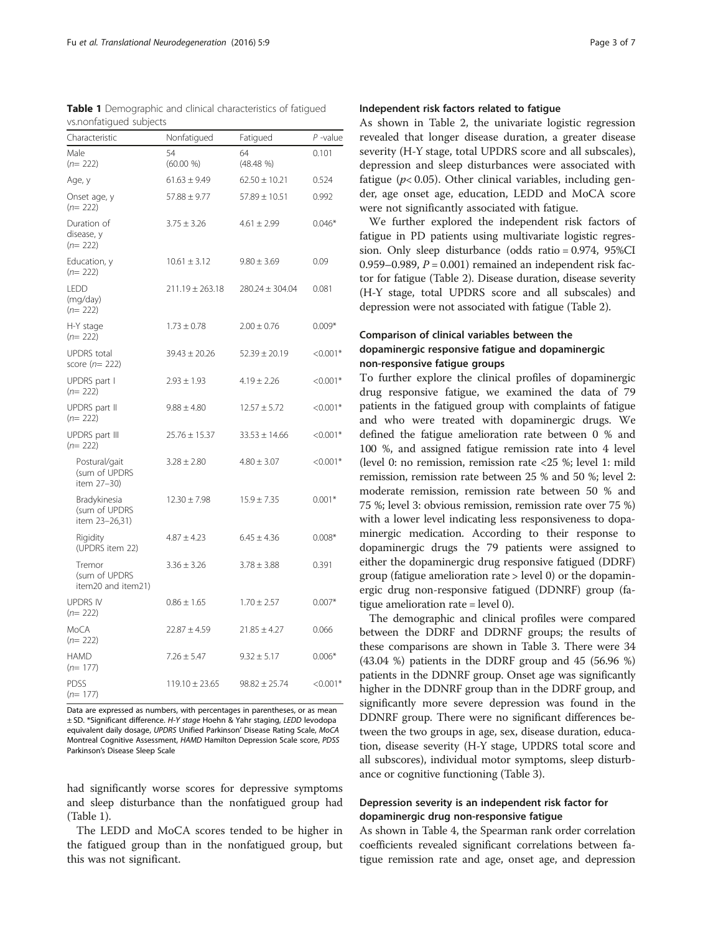| vs.nomatigued subjects                          |                     |                     |            |
|-------------------------------------------------|---------------------|---------------------|------------|
| Characteristic                                  | Nonfatigued         | Fatigued            | $P$ -value |
| Male<br>$(n=222)$                               | 54<br>(60.00 %)     | 64<br>$(48.48\%)$   | 0.101      |
| Age, y                                          | $61.63 \pm 9.49$    | $62.50 \pm 10.21$   | 0.524      |
| Onset age, y<br>$(n=222)$                       | $57.88 \pm 9.77$    | $57.89 \pm 10.51$   | 0.992      |
| Duration of<br>disease, y<br>$(n=222)$          | $3.75 \pm 3.26$     | $4.61 \pm 2.99$     | $0.046*$   |
| Education, y<br>$(n=222)$                       | $10.61 \pm 3.12$    | $9.80 \pm 3.69$     | 0.09       |
| <b>LEDD</b><br>(mg/day)<br>$(n=222)$            | $211.19 \pm 263.18$ | $280.24 \pm 304.04$ | 0.081      |
| H-Y stage<br>$(n=222)$                          | $1.73 \pm 0.78$     | $2.00 \pm 0.76$     | $0.009*$   |
| <b>UPDRS</b> total<br>score ( $n=222$ )         | $39.43 \pm 20.26$   | $52.39 \pm 20.19$   | $< 0.001*$ |
| UPDRS part I<br>$(n=222)$                       | $2.93 \pm 1.93$     | $4.19 \pm 2.26$     | $< 0.001*$ |
| UPDRS part II<br>$(n=222)$                      | $9.88 \pm 4.80$     | $12.57 \pm 5.72$    | $< 0.001*$ |
| UPDRS part III<br>$(n=222)$                     | $25.76 \pm 15.37$   | $33.53 \pm 14.66$   | $< 0.001*$ |
| Postural/gait<br>(sum of UPDRS<br>item 27-30)   | $3.28 \pm 2.80$     | $4.80 \pm 3.07$     | $< 0.001*$ |
| Bradykinesia<br>(sum of UPDRS<br>item 23-26,31) | $12.30 \pm 7.98$    | $15.9 \pm 7.35$     | $0.001*$   |
| Rigidity<br>(UPDRS item 22)                     | $4.87 \pm 4.23$     | $6.45 \pm 4.36$     | $0.008*$   |
| Tremor<br>(sum of UPDRS<br>item20 and item21)   | $3.36 \pm 3.26$     | $3.78 \pm 3.88$     | 0.391      |
| <b>UPDRS IV</b><br>$(n=222)$                    | $0.86 \pm 1.65$     | $1.70 \pm 2.57$     | $0.007*$   |
| MoCA<br>$(n=222)$                               | $22.87 \pm 4.59$    | $21.85 \pm 4.27$    | 0.066      |
| HAMD<br>$(n=177)$                               | $7.26 \pm 5.47$     | $9.32 \pm 5.17$     | $0.006*$   |
| <b>PDSS</b><br>$(n=177)$                        | $119.10 \pm 23.65$  | $98.82 \pm 25.74$   | $< 0.001*$ |

Data are expressed as numbers, with percentages in parentheses, or as mean ± SD. \*Significant difference. H-Y stage Hoehn & Yahr staging, LEDD levodopa equivalent daily dosage, UPDRS Unified Parkinson' Disease Rating Scale, MoCA Montreal Cognitive Assessment, HAMD Hamilton Depression Scale score, PDSS Parkinson's Disease Sleep Scale

had significantly worse scores for depressive symptoms and sleep disturbance than the nonfatigued group had (Table 1).

The LEDD and MoCA scores tended to be higher in the fatigued group than in the nonfatigued group, but this was not significant.

## Independent risk factors related to fatigue

As shown in Table [2,](#page-3-0) the univariate logistic regression revealed that longer disease duration, a greater disease severity (H-Y stage, total UPDRS score and all subscales), depression and sleep disturbances were associated with fatigue ( $p$ < 0.05). Other clinical variables, including gender, age onset age, education, LEDD and MoCA score were not significantly associated with fatigue.

We further explored the independent risk factors of fatigue in PD patients using multivariate logistic regression. Only sleep disturbance (odds ratio = 0.974, 95%CI 0.959–0.989,  $P = 0.001$ ) remained an independent risk factor for fatigue (Table [2\)](#page-3-0). Disease duration, disease severity (H-Y stage, total UPDRS score and all subscales) and depression were not associated with fatigue (Table [2\)](#page-3-0).

## Comparison of clinical variables between the dopaminergic responsive fatigue and dopaminergic non-responsive fatigue groups

To further explore the clinical profiles of dopaminergic drug responsive fatigue, we examined the data of 79 patients in the fatigued group with complaints of fatigue and who were treated with dopaminergic drugs. We defined the fatigue amelioration rate between 0 % and 100 %, and assigned fatigue remission rate into 4 level (level 0: no remission, remission rate <25 %; level 1: mild remission, remission rate between 25 % and 50 %; level 2: moderate remission, remission rate between 50 % and 75 %; level 3: obvious remission, remission rate over 75 %) with a lower level indicating less responsiveness to dopaminergic medication. According to their response to dopaminergic drugs the 79 patients were assigned to either the dopaminergic drug responsive fatigued (DDRF) group (fatigue amelioration rate > level 0) or the dopaminergic drug non-responsive fatigued (DDNRF) group (fatigue amelioration rate = level 0).

The demographic and clinical profiles were compared between the DDRF and DDRNF groups; the results of these comparisons are shown in Table [3](#page-4-0). There were 34 (43.04 %) patients in the DDRF group and 45 (56.96 %) patients in the DDNRF group. Onset age was significantly higher in the DDNRF group than in the DDRF group, and significantly more severe depression was found in the DDNRF group. There were no significant differences between the two groups in age, sex, disease duration, education, disease severity (H-Y stage, UPDRS total score and all subscores), individual motor symptoms, sleep disturbance or cognitive functioning (Table [3](#page-4-0)).

## Depression severity is an independent risk factor for dopaminergic drug non-responsive fatigue

As shown in Table [4,](#page-4-0) the Spearman rank order correlation coefficients revealed significant correlations between fatigue remission rate and age, onset age, and depression

<span id="page-2-0"></span>Table 1 Demographic and clinical characteristics of fatigued vs.nonfatigued subjects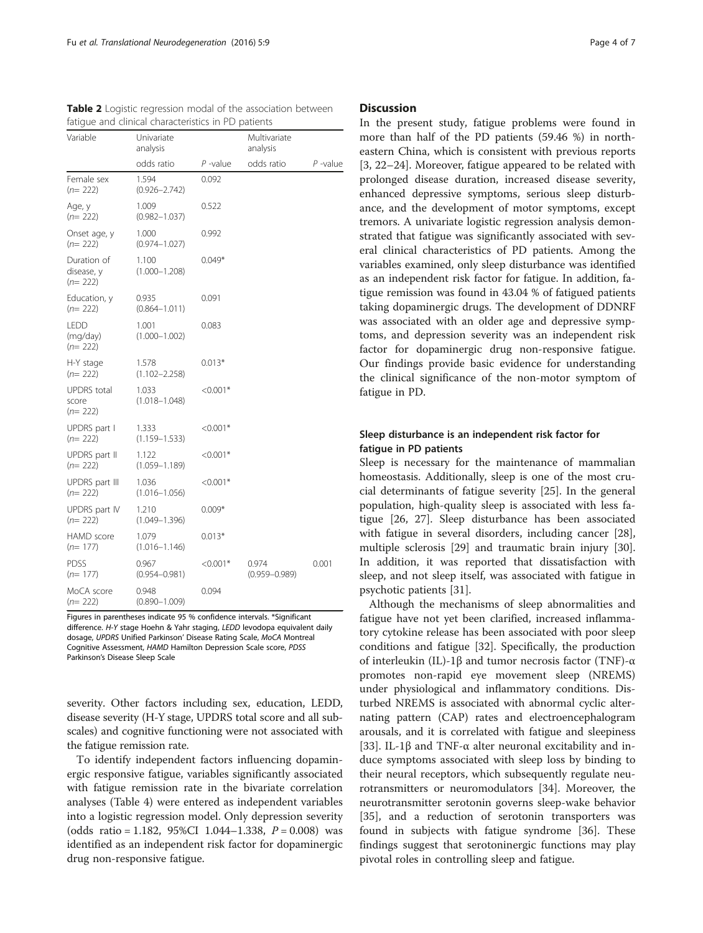| Variable                                 | Univariate<br>analysis     |             | Multivariate<br>analysis   |            |
|------------------------------------------|----------------------------|-------------|----------------------------|------------|
|                                          | odds ratio                 | $P$ -value  | odds ratio                 | $P$ -value |
| Female sex<br>$(n=222)$                  | 1.594<br>$(0.926 - 2.742)$ | 0.092       |                            |            |
| Age, y<br>$(n=222)$                      | 1.009<br>$(0.982 - 1.037)$ | 0.522       |                            |            |
| Onset age, y<br>$(n=222)$                | 1.000<br>(0.974–1.027)     | 0.992       |                            |            |
| Duration of<br>disease, y<br>$(n=222)$   | 1.100<br>$(1.000 - 1.208)$ | $0.049*$    |                            |            |
| Education, y<br>$(n=222)$                | 0.935<br>$(0.864 - 1.011)$ | 0.091       |                            |            |
| <b>LEDD</b><br>(mg/day)<br>$(n=222)$     | 1.001<br>$(1.000 - 1.002)$ | 0.083       |                            |            |
| H-Y stage<br>$(n=222)$                   | 1.578<br>$(1.102 - 2.258)$ | $0.013*$    |                            |            |
| <b>UPDRS</b> total<br>score<br>$(n=222)$ | 1.033<br>$(1.018 - 1.048)$ | ${<}0.001*$ |                            |            |
| UPDRS part I<br>$(n=222)$                | 1.333<br>$(1.159 - 1.533)$ | ${<}0.001*$ |                            |            |
| UPDRS part II<br>$(n=222)$               | 1.122<br>$(1.059 - 1.189)$ | $< 0.001*$  |                            |            |
| UPDRS part III<br>$(n=222)$              | 1.036<br>$(1.016 - 1.056)$ | $< 0.001*$  |                            |            |
| UPDRS part IV<br>$(n=222)$               | 1.210<br>$(1.049 - 1.396)$ | $0.009*$    |                            |            |
| HAMD score<br>$(n=177)$                  | 1.079<br>$(1.016 - 1.146)$ | $0.013*$    |                            |            |
| <b>PDSS</b><br>$(n=177)$                 | 0.967<br>$(0.954 - 0.981)$ | ${<}0.001*$ | 0.974<br>$(0.959 - 0.989)$ | 0.001      |
| MoCA score<br>$(n=222)$                  | 0.948<br>$(0.890 - 1.009)$ | 0.094       |                            |            |

<span id="page-3-0"></span>Table 2 Logistic regression modal of the association between fatigue and clinical characteristics in PD patients

Figures in parentheses indicate 95 % confidence intervals. \*Significant difference. H-Y stage Hoehn & Yahr staging, LEDD levodopa equivalent daily dosage, UPDRS Unified Parkinson' Disease Rating Scale, MoCA Montreal Cognitive Assessment, HAMD Hamilton Depression Scale score, PDSS Parkinson's Disease Sleep Scale

severity. Other factors including sex, education, LEDD, disease severity (H-Y stage, UPDRS total score and all subscales) and cognitive functioning were not associated with the fatigue remission rate.

To identify independent factors influencing dopaminergic responsive fatigue, variables significantly associated with fatigue remission rate in the bivariate correlation analyses (Table [4\)](#page-4-0) were entered as independent variables into a logistic regression model. Only depression severity (odds ratio = 1.182, 95%CI 1.044-1.338,  $P = 0.008$ ) was identified as an independent risk factor for dopaminergic drug non-responsive fatigue.

## **Discussion**

In the present study, fatigue problems were found in more than half of the PD patients (59.46 %) in northeastern China, which is consistent with previous reports [[3,](#page-5-0) [22](#page-6-0)–[24](#page-6-0)]. Moreover, fatigue appeared to be related with prolonged disease duration, increased disease severity, enhanced depressive symptoms, serious sleep disturbance, and the development of motor symptoms, except tremors. A univariate logistic regression analysis demonstrated that fatigue was significantly associated with several clinical characteristics of PD patients. Among the variables examined, only sleep disturbance was identified as an independent risk factor for fatigue. In addition, fatigue remission was found in 43.04 % of fatigued patients taking dopaminergic drugs. The development of DDNRF was associated with an older age and depressive symptoms, and depression severity was an independent risk factor for dopaminergic drug non-responsive fatigue. Our findings provide basic evidence for understanding the clinical significance of the non-motor symptom of fatigue in PD.

## Sleep disturbance is an independent risk factor for fatigue in PD patients

Sleep is necessary for the maintenance of mammalian homeostasis. Additionally, sleep is one of the most crucial determinants of fatigue severity [[25\]](#page-6-0). In the general population, high-quality sleep is associated with less fatigue [[26, 27](#page-6-0)]. Sleep disturbance has been associated with fatigue in several disorders, including cancer [\[28](#page-6-0)], multiple sclerosis [\[29\]](#page-6-0) and traumatic brain injury [\[30](#page-6-0)]. In addition, it was reported that dissatisfaction with sleep, and not sleep itself, was associated with fatigue in psychotic patients [\[31](#page-6-0)].

Although the mechanisms of sleep abnormalities and fatigue have not yet been clarified, increased inflammatory cytokine release has been associated with poor sleep conditions and fatigue [\[32](#page-6-0)]. Specifically, the production of interleukin (IL)-1β and tumor necrosis factor (TNF)-α promotes non-rapid eye movement sleep (NREMS) under physiological and inflammatory conditions. Disturbed NREMS is associated with abnormal cyclic alternating pattern (CAP) rates and electroencephalogram arousals, and it is correlated with fatigue and sleepiness [[33\]](#page-6-0). IL-1β and TNF-α alter neuronal excitability and induce symptoms associated with sleep loss by binding to their neural receptors, which subsequently regulate neurotransmitters or neuromodulators [[34](#page-6-0)]. Moreover, the neurotransmitter serotonin governs sleep-wake behavior [[35\]](#page-6-0), and a reduction of serotonin transporters was found in subjects with fatigue syndrome [\[36](#page-6-0)]. These findings suggest that serotoninergic functions may play pivotal roles in controlling sleep and fatigue.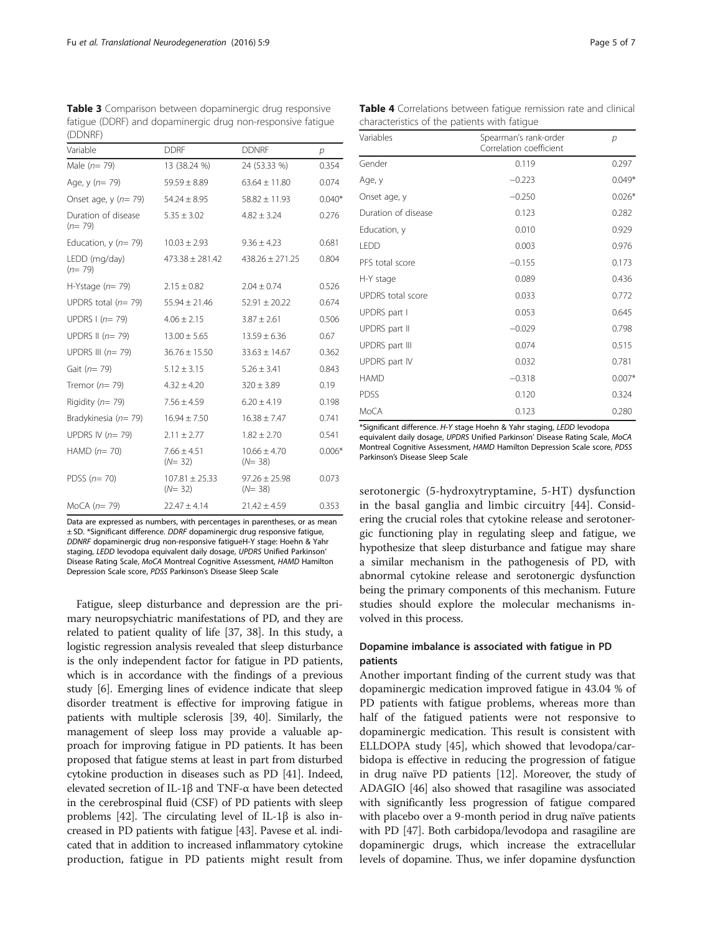<span id="page-4-0"></span>Table 3 Comparison between dopaminergic drug responsive fatigue (DDRF) and dopaminergic drug non-responsive fatigue (DDNRF)

| Variable                        | <b>DDRF</b>                    | <b>DDNRF</b>                  | р        |
|---------------------------------|--------------------------------|-------------------------------|----------|
| Male $(n=79)$                   | 13 (38.24 %)                   | 24 (53.33 %)                  | 0.354    |
| Age, $y(n=79)$                  | $59.59 \pm 8.89$               | $63.64 \pm 11.80$             | 0.074    |
| Onset age, $y(n=79)$            | $54.24 \pm 8.95$               | $58.82 \pm 11.93$             | $0.040*$ |
| Duration of disease<br>$(n=79)$ | $5.35 \pm 3.02$                | $4.82 \pm 3.24$               | 0.276    |
| Education, $y(n=79)$            | $10.03 \pm 2.93$               | $9.36 \pm 4.23$               | 0.681    |
| LEDD (mg/day)<br>$(n=79)$       | $473.38 \pm 281.42$            | $438.26 \pm 271.25$           | 0.804    |
| H-Ystage $(n=79)$               | $2.15 \pm 0.82$                | $2.04 \pm 0.74$               | 0.526    |
| UPDRS total $(n=79)$            | $55.94 \pm 21.46$              | $52.91 \pm 20.22$             | 0.674    |
| UPDRS $(n=79)$                  | $4.06 \pm 2.15$                | $3.87 \pm 2.61$               | 0.506    |
| UPDRS II $(n=79)$               | $13.00 \pm 5.65$               | $13.59 \pm 6.36$              | 0.67     |
| UPDRS III $(n=79)$              | $36.76 \pm 15.50$              | $33.63 \pm 14.67$             | 0.362    |
| Gait $(n=79)$                   | $5.12 \pm 3.15$                | $5.26 \pm 3.41$               | 0.843    |
| Tremor $(n=79)$                 | $4.32 \pm 4.20$                | $320 \pm 3.89$                | 0.19     |
| Rigidity ( $n = 79$ )           | $7.56 \pm 4.59$                | $6.20 \pm 4.19$               | 0.198    |
| Bradykinesia ( $n=79$ )         | $16.94 \pm 7.50$               | $16.38 \pm 7.47$              | 0.741    |
| UPDRS IV $(n=79)$               | $2.11 \pm 2.77$                | $1.82 \pm 2.70$               | 0.541    |
| HAMD $(n=70)$                   | $7.66 \pm 4.51$<br>$(N=32)$    | $10.66 \pm 4.70$<br>$(N=38)$  | $0.006*$ |
| PDSS $(n=70)$                   | $107.81 \pm 25.33$<br>$(N=32)$ | $97.26 \pm 25.98$<br>$(N=38)$ | 0.073    |
| MoCA $(n=79)$                   | $22.47 \pm 4.14$               | $21.42 \pm 4.59$              | 0.353    |

Data are expressed as numbers, with percentages in parentheses, or as mean ± SD. \*Significant difference. DDRF dopaminergic drug responsive fatigue, DDNRF dopaminergic drug non-responsive fatigueH-Y stage: Hoehn & Yahr staging, LEDD levodopa equivalent daily dosage, UPDRS Unified Parkinson' Disease Rating Scale, MoCA Montreal Cognitive Assessment, HAMD Hamilton Depression Scale score, PDSS Parkinson's Disease Sleep Scale

Fatigue, sleep disturbance and depression are the primary neuropsychiatric manifestations of PD, and they are related to patient quality of life [\[37](#page-6-0), [38\]](#page-6-0). In this study, a logistic regression analysis revealed that sleep disturbance is the only independent factor for fatigue in PD patients, which is in accordance with the findings of a previous study [\[6](#page-5-0)]. Emerging lines of evidence indicate that sleep disorder treatment is effective for improving fatigue in patients with multiple sclerosis [[39](#page-6-0), [40](#page-6-0)]. Similarly, the management of sleep loss may provide a valuable approach for improving fatigue in PD patients. It has been proposed that fatigue stems at least in part from disturbed cytokine production in diseases such as PD [\[41](#page-6-0)]. Indeed, elevated secretion of IL-1β and TNF-α have been detected in the cerebrospinal fluid (CSF) of PD patients with sleep problems [\[42](#page-6-0)]. The circulating level of IL-1β is also increased in PD patients with fatigue [[43](#page-6-0)]. Pavese et al. indicated that in addition to increased inflammatory cytokine production, fatigue in PD patients might result from

Table 4 Correlations between fatique remission rate and clinical characteristics of the patients with fatigue

| Variables                | Spearman's rank-order<br>Correlation coefficient | р        |
|--------------------------|--------------------------------------------------|----------|
| Gender                   | 0.119                                            | 0.297    |
| Age, y                   | $-0.223$                                         | $0.049*$ |
| Onset age, y             | $-0.250$                                         | $0.026*$ |
| Duration of disease      | 0.123                                            | 0.282    |
| Education, y             | 0.010                                            | 0.929    |
| <b>LEDD</b>              | 0.003                                            | 0.976    |
| PFS total score          | $-0.155$                                         | 0.173    |
| H-Y stage                | 0.089                                            | 0.436    |
| <b>UPDRS</b> total score | 0.033                                            | 0.772    |
| UPDRS part I             | 0.053                                            | 0.645    |
| UPDRS part II            | $-0.029$                                         | 0.798    |
| UPDRS part III           | 0.074                                            | 0.515    |
| UPDRS part IV            | 0.032                                            | 0.781    |
| <b>HAMD</b>              | $-0.318$                                         | $0.007*$ |
| <b>PDSS</b>              | 0.120                                            | 0.324    |
| MoCA<br><br>$\cdots$     | 0.123<br>.<br>$\sim$ $   -$                      | 0.280    |

\*Significant difference. H-Y stage Hoehn & Yahr staging, LEDD levodopa equivalent daily dosage, UPDRS Unified Parkinson' Disease Rating Scale, MoCA Montreal Cognitive Assessment, HAMD Hamilton Depression Scale score, PDSS Parkinson's Disease Sleep Scale

serotonergic (5-hydroxytryptamine, 5-HT) dysfunction in the basal ganglia and limbic circuitry [[44\]](#page-6-0). Considering the crucial roles that cytokine release and serotonergic functioning play in regulating sleep and fatigue, we hypothesize that sleep disturbance and fatigue may share a similar mechanism in the pathogenesis of PD, with abnormal cytokine release and serotonergic dysfunction being the primary components of this mechanism. Future studies should explore the molecular mechanisms involved in this process.

## Dopamine imbalance is associated with fatigue in PD patients

Another important finding of the current study was that dopaminergic medication improved fatigue in 43.04 % of PD patients with fatigue problems, whereas more than half of the fatigued patients were not responsive to dopaminergic medication. This result is consistent with ELLDOPA study [[45\]](#page-6-0), which showed that levodopa/carbidopa is effective in reducing the progression of fatigue in drug naïve PD patients [[12](#page-6-0)]. Moreover, the study of ADAGIO [\[46\]](#page-6-0) also showed that rasagiline was associated with significantly less progression of fatigue compared with placebo over a 9-month period in drug naïve patients with PD [[47](#page-6-0)]. Both carbidopa/levodopa and rasagiline are dopaminergic drugs, which increase the extracellular levels of dopamine. Thus, we infer dopamine dysfunction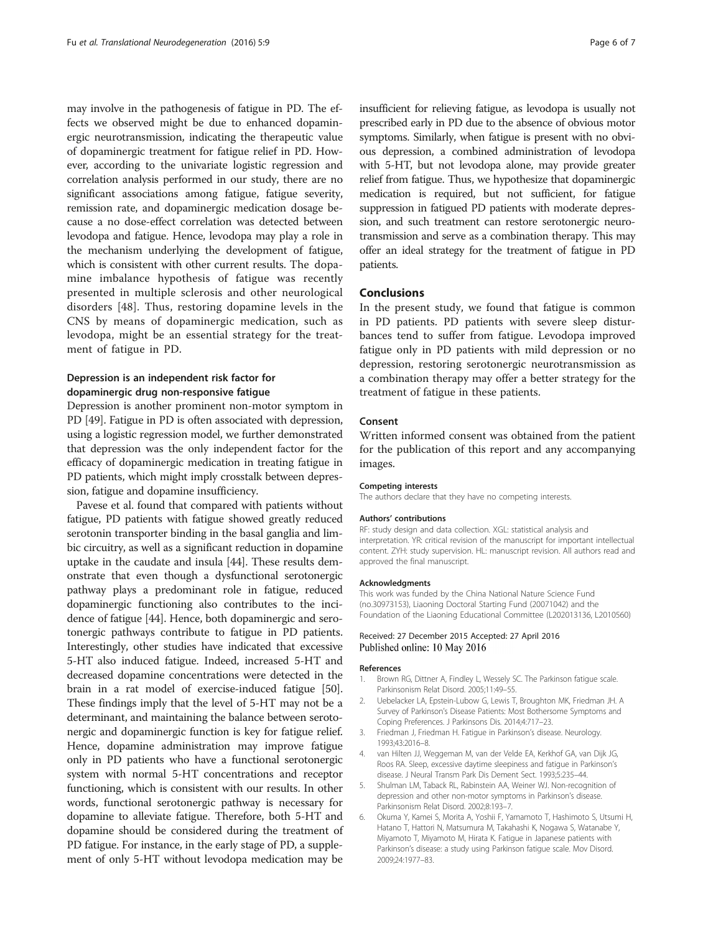<span id="page-5-0"></span>may involve in the pathogenesis of fatigue in PD. The effects we observed might be due to enhanced dopaminergic neurotransmission, indicating the therapeutic value of dopaminergic treatment for fatigue relief in PD. However, according to the univariate logistic regression and correlation analysis performed in our study, there are no significant associations among fatigue, fatigue severity, remission rate, and dopaminergic medication dosage because a no dose-effect correlation was detected between levodopa and fatigue. Hence, levodopa may play a role in the mechanism underlying the development of fatigue, which is consistent with other current results. The dopamine imbalance hypothesis of fatigue was recently presented in multiple sclerosis and other neurological disorders [[48\]](#page-6-0). Thus, restoring dopamine levels in the CNS by means of dopaminergic medication, such as levodopa, might be an essential strategy for the treatment of fatigue in PD.

## Depression is an independent risk factor for dopaminergic drug non-responsive fatigue

Depression is another prominent non-motor symptom in PD [\[49\]](#page-6-0). Fatigue in PD is often associated with depression, using a logistic regression model, we further demonstrated that depression was the only independent factor for the efficacy of dopaminergic medication in treating fatigue in PD patients, which might imply crosstalk between depression, fatigue and dopamine insufficiency.

Pavese et al. found that compared with patients without fatigue, PD patients with fatigue showed greatly reduced serotonin transporter binding in the basal ganglia and limbic circuitry, as well as a significant reduction in dopamine uptake in the caudate and insula [\[44\]](#page-6-0). These results demonstrate that even though a dysfunctional serotonergic pathway plays a predominant role in fatigue, reduced dopaminergic functioning also contributes to the incidence of fatigue [\[44\]](#page-6-0). Hence, both dopaminergic and serotonergic pathways contribute to fatigue in PD patients. Interestingly, other studies have indicated that excessive 5-HT also induced fatigue. Indeed, increased 5-HT and decreased dopamine concentrations were detected in the brain in a rat model of exercise-induced fatigue [[50](#page-6-0)]. These findings imply that the level of 5-HT may not be a determinant, and maintaining the balance between serotonergic and dopaminergic function is key for fatigue relief. Hence, dopamine administration may improve fatigue only in PD patients who have a functional serotonergic system with normal 5-HT concentrations and receptor functioning, which is consistent with our results. In other words, functional serotonergic pathway is necessary for dopamine to alleviate fatigue. Therefore, both 5-HT and dopamine should be considered during the treatment of PD fatigue. For instance, in the early stage of PD, a supplement of only 5-HT without levodopa medication may be insufficient for relieving fatigue, as levodopa is usually not prescribed early in PD due to the absence of obvious motor symptoms. Similarly, when fatigue is present with no obvious depression, a combined administration of levodopa with 5-HT, but not levodopa alone, may provide greater relief from fatigue. Thus, we hypothesize that dopaminergic medication is required, but not sufficient, for fatigue suppression in fatigued PD patients with moderate depression, and such treatment can restore serotonergic neurotransmission and serve as a combination therapy. This may offer an ideal strategy for the treatment of fatigue in PD patients.

### Conclusions

In the present study, we found that fatigue is common in PD patients. PD patients with severe sleep disturbances tend to suffer from fatigue. Levodopa improved fatigue only in PD patients with mild depression or no depression, restoring serotonergic neurotransmission as a combination therapy may offer a better strategy for the treatment of fatigue in these patients.

#### Consent

Written informed consent was obtained from the patient for the publication of this report and any accompanying images.

#### Competing interests

The authors declare that they have no competing interests.

#### Authors' contributions

RF: study design and data collection. XGL: statistical analysis and interpretation. YR: critical revision of the manuscript for important intellectual content. ZYH: study supervision. HL: manuscript revision. All authors read and approved the final manuscript.

#### Acknowledgments

This work was funded by the China National Nature Science Fund (no.30973153), Liaoning Doctoral Starting Fund (20071042) and the Foundation of the Liaoning Educational Committee (L202013136, L2010560)

#### Received: 27 December 2015 Accepted: 27 April 2016 Published online: 10 May 2016

#### References

- 1. Brown RG, Dittner A, Findley L, Wessely SC. The Parkinson fatigue scale. Parkinsonism Relat Disord. 2005;11:49–55.
- 2. Uebelacker LA, Epstein-Lubow G, Lewis T, Broughton MK, Friedman JH. A Survey of Parkinson's Disease Patients: Most Bothersome Symptoms and Coping Preferences. J Parkinsons Dis. 2014;4:717–23.
- 3. Friedman J, Friedman H. Fatigue in Parkinson's disease. Neurology. 1993;43:2016–8.
- 4. van Hilten JJ, Weggeman M, van der Velde EA, Kerkhof GA, van Dijk JG, Roos RA. Sleep, excessive daytime sleepiness and fatigue in Parkinson's disease. J Neural Transm Park Dis Dement Sect. 1993;5:235–44.
- 5. Shulman LM, Taback RL, Rabinstein AA, Weiner WJ. Non-recognition of depression and other non-motor symptoms in Parkinson's disease. Parkinsonism Relat Disord. 2002;8:193–7.
- 6. Okuma Y, Kamei S, Morita A, Yoshii F, Yamamoto T, Hashimoto S, Utsumi H, Hatano T, Hattori N, Matsumura M, Takahashi K, Nogawa S, Watanabe Y, Miyamoto T, Miyamoto M, Hirata K. Fatigue in Japanese patients with Parkinson's disease: a study using Parkinson fatigue scale. Mov Disord. 2009;24:1977–83.